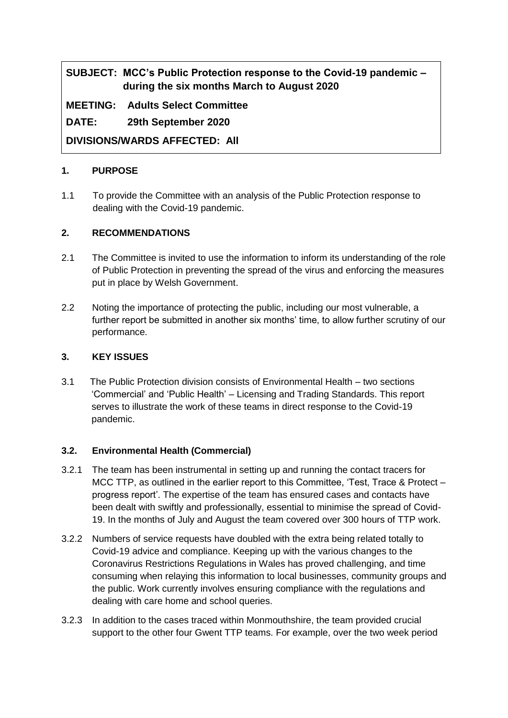# **SUBJECT: MCC's Public Protection response to the Covid-19 pandemic – during the six months March to August 2020**

**MEETING: Adults Select Committee**

**DATE: 29th September 2020**

**DIVISIONS/WARDS AFFECTED: All**

#### **1. PURPOSE**

1.1 To provide the Committee with an analysis of the Public Protection response to dealing with the Covid-19 pandemic.

# **2. RECOMMENDATIONS**

- 2.1 The Committee is invited to use the information to inform its understanding of the role of Public Protection in preventing the spread of the virus and enforcing the measures put in place by Welsh Government.
- 2.2 Noting the importance of protecting the public, including our most vulnerable, a further report be submitted in another six months' time, to allow further scrutiny of our performance.

#### **3. KEY ISSUES**

3.1 The Public Protection division consists of Environmental Health – two sections 'Commercial' and 'Public Health' – Licensing and Trading Standards. This report serves to illustrate the work of these teams in direct response to the Covid-19 pandemic.

#### **3.2. Environmental Health (Commercial)**

- 3.2.1 The team has been instrumental in setting up and running the contact tracers for MCC TTP, as outlined in the earlier report to this Committee, 'Test, Trace & Protect – progress report'. The expertise of the team has ensured cases and contacts have been dealt with swiftly and professionally, essential to minimise the spread of Covid-19. In the months of July and August the team covered over 300 hours of TTP work.
- 3.2.2 Numbers of service requests have doubled with the extra being related totally to Covid-19 advice and compliance. Keeping up with the various changes to the Coronavirus Restrictions Regulations in Wales has proved challenging, and time consuming when relaying this information to local businesses, community groups and the public. Work currently involves ensuring compliance with the regulations and dealing with care home and school queries.
- 3.2.3 In addition to the cases traced within Monmouthshire, the team provided crucial support to the other four Gwent TTP teams. For example, over the two week period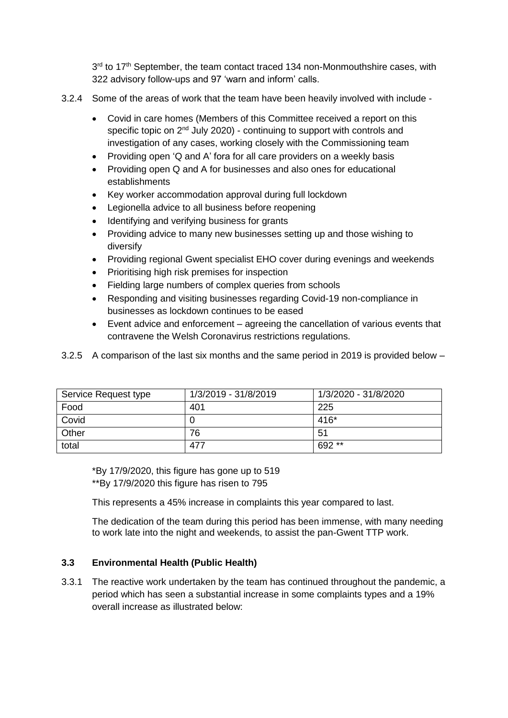3<sup>rd</sup> to 17<sup>th</sup> September, the team contact traced 134 non-Monmouthshire cases, with 322 advisory follow-ups and 97 'warn and inform' calls.

- 3.2.4 Some of the areas of work that the team have been heavily involved with include
	- Covid in care homes (Members of this Committee received a report on this specific topic on 2<sup>nd</sup> July 2020) - continuing to support with controls and investigation of any cases, working closely with the Commissioning team
	- Providing open 'Q and A' fora for all care providers on a weekly basis
	- Providing open Q and A for businesses and also ones for educational establishments
	- Key worker accommodation approval during full lockdown
	- Legionella advice to all business before reopening
	- Identifying and verifying business for grants
	- Providing advice to many new businesses setting up and those wishing to diversify
	- Providing regional Gwent specialist EHO cover during evenings and weekends
	- Prioritising high risk premises for inspection
	- Fielding large numbers of complex queries from schools
	- Responding and visiting businesses regarding Covid-19 non-compliance in businesses as lockdown continues to be eased
	- Event advice and enforcement agreeing the cancellation of various events that contravene the Welsh Coronavirus restrictions regulations.

| Service Request type | 1/3/2019 - 31/8/2019 | 1/3/2020 - 31/8/2020 |
|----------------------|----------------------|----------------------|
| Food                 | 401                  | 225                  |
| Covid                |                      | $416*$               |
| Other                | 76                   | 51                   |
| total                | 477                  | 692**                |

3.2.5 A comparison of the last six months and the same period in 2019 is provided below –

\*By 17/9/2020, this figure has gone up to 519 \*\*By 17/9/2020 this figure has risen to 795

This represents a 45% increase in complaints this year compared to last.

The dedication of the team during this period has been immense, with many needing to work late into the night and weekends, to assist the pan-Gwent TTP work.

#### **3.3 Environmental Health (Public Health)**

3.3.1 The reactive work undertaken by the team has continued throughout the pandemic, a period which has seen a substantial increase in some complaints types and a 19% overall increase as illustrated below: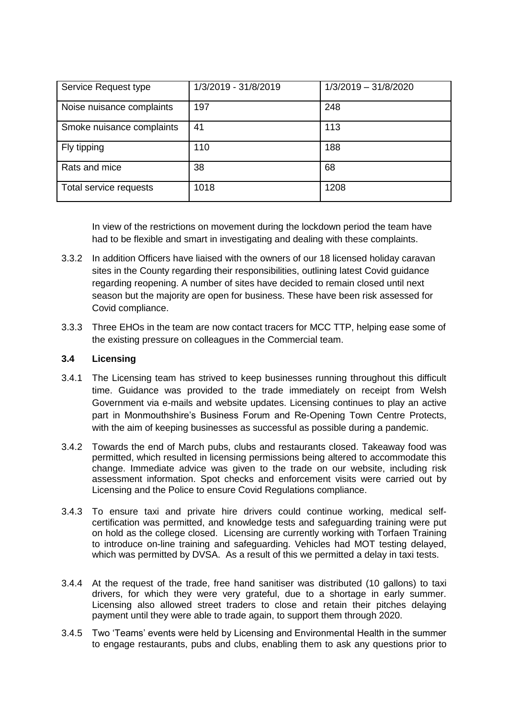| Service Request type      | 1/3/2019 - 31/8/2019 | $1/3/2019 - 31/8/2020$ |
|---------------------------|----------------------|------------------------|
| Noise nuisance complaints | 197                  | 248                    |
| Smoke nuisance complaints | 41                   | 113                    |
| Fly tipping               | 110                  | 188                    |
| Rats and mice             | 38                   | 68                     |
| Total service requests    | 1018                 | 1208                   |

In view of the restrictions on movement during the lockdown period the team have had to be flexible and smart in investigating and dealing with these complaints.

- 3.3.2 In addition Officers have liaised with the owners of our 18 licensed holiday caravan sites in the County regarding their responsibilities, outlining latest Covid guidance regarding reopening. A number of sites have decided to remain closed until next season but the majority are open for business. These have been risk assessed for Covid compliance.
- 3.3.3 Three EHOs in the team are now contact tracers for MCC TTP, helping ease some of the existing pressure on colleagues in the Commercial team.

#### **3.4 Licensing**

- 3.4.1 The Licensing team has strived to keep businesses running throughout this difficult time. Guidance was provided to the trade immediately on receipt from Welsh Government via e-mails and website updates. Licensing continues to play an active part in Monmouthshire's Business Forum and Re-Opening Town Centre Protects, with the aim of keeping businesses as successful as possible during a pandemic.
- 3.4.2 Towards the end of March pubs, clubs and restaurants closed. Takeaway food was permitted, which resulted in licensing permissions being altered to accommodate this change. Immediate advice was given to the trade on our website, including risk assessment information. Spot checks and enforcement visits were carried out by Licensing and the Police to ensure Covid Regulations compliance.
- 3.4.3 To ensure taxi and private hire drivers could continue working, medical selfcertification was permitted, and knowledge tests and safeguarding training were put on hold as the college closed. Licensing are currently working with Torfaen Training to introduce on-line training and safeguarding. Vehicles had MOT testing delayed, which was permitted by DVSA. As a result of this we permitted a delay in taxi tests.
- 3.4.4 At the request of the trade, free hand sanitiser was distributed (10 gallons) to taxi drivers, for which they were very grateful, due to a shortage in early summer. Licensing also allowed street traders to close and retain their pitches delaying payment until they were able to trade again, to support them through 2020.
- 3.4.5 Two 'Teams' events were held by Licensing and Environmental Health in the summer to engage restaurants, pubs and clubs, enabling them to ask any questions prior to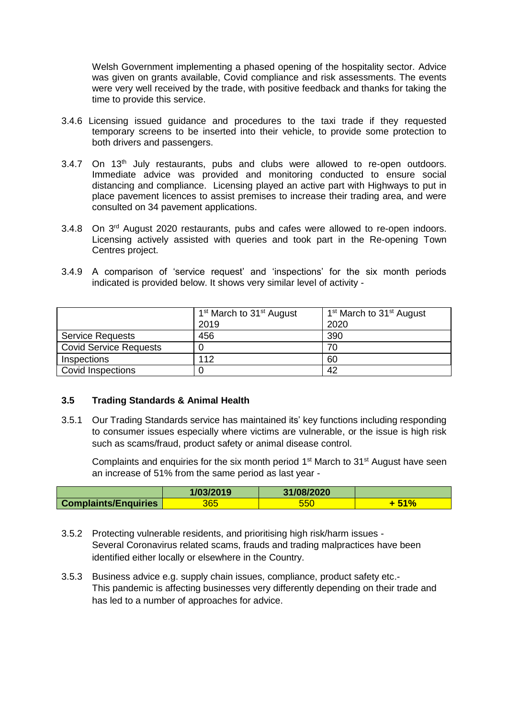Welsh Government implementing a phased opening of the hospitality sector. Advice was given on grants available, Covid compliance and risk assessments. The events were very well received by the trade, with positive feedback and thanks for taking the time to provide this service.

- 3.4.6 Licensing issued guidance and procedures to the taxi trade if they requested temporary screens to be inserted into their vehicle, to provide some protection to both drivers and passengers.
- 3.4.7 On 13<sup>th</sup> July restaurants, pubs and clubs were allowed to re-open outdoors. Immediate advice was provided and monitoring conducted to ensure social distancing and compliance. Licensing played an active part with Highways to put in place pavement licences to assist premises to increase their trading area, and were consulted on 34 pavement applications.
- 3.4.8 On 3<sup>rd</sup> August 2020 restaurants, pubs and cafes were allowed to re-open indoors. Licensing actively assisted with queries and took part in the Re-opening Town Centres project.
- 3.4.9 A comparison of 'service request' and 'inspections' for the six month periods indicated is provided below. It shows very similar level of activity -

|                               | 1 <sup>st</sup> March to 31 <sup>st</sup> August<br>2019 | 1 <sup>st</sup> March to 31 <sup>st</sup> August<br>2020 |
|-------------------------------|----------------------------------------------------------|----------------------------------------------------------|
| <b>Service Requests</b>       | 456                                                      | 390                                                      |
| <b>Covid Service Requests</b> |                                                          | 70                                                       |
| Inspections                   | 112                                                      | 60                                                       |
| Covid Inspections             |                                                          | 42                                                       |

#### **3.5 Trading Standards & Animal Health**

3.5.1 Our Trading Standards service has maintained its' key functions including responding to consumer issues especially where victims are vulnerable, or the issue is high risk such as scams/fraud, product safety or animal disease control.

Complaints and enquiries for the six month period  $1<sup>st</sup>$  March to  $31<sup>st</sup>$  August have seen an increase of 51% from the same period as last year -

|                             | 1/03/2019 | 31/08/2020 |    |
|-----------------------------|-----------|------------|----|
| <b>Complaints/Enquiries</b> | 365       | ხხს        | 70 |

- 3.5.2 Protecting vulnerable residents, and prioritising high risk/harm issues Several Coronavirus related scams, frauds and trading malpractices have been identified either locally or elsewhere in the Country.
- 3.5.3 Business advice e.g. supply chain issues, compliance, product safety etc.- This pandemic is affecting businesses very differently depending on their trade and has led to a number of approaches for advice.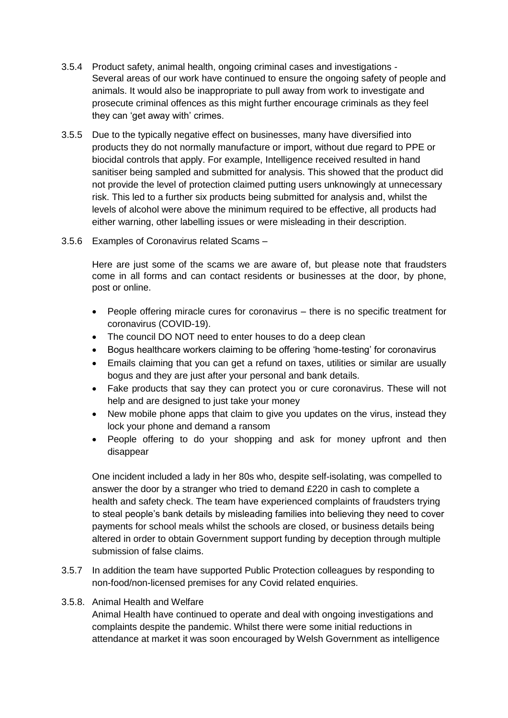- 3.5.4 Product safety, animal health, ongoing criminal cases and investigations Several areas of our work have continued to ensure the ongoing safety of people and animals. It would also be inappropriate to pull away from work to investigate and prosecute criminal offences as this might further encourage criminals as they feel they can 'get away with' crimes.
- 3.5.5 Due to the typically negative effect on businesses, many have diversified into products they do not normally manufacture or import, without due regard to PPE or biocidal controls that apply. For example, Intelligence received resulted in hand sanitiser being sampled and submitted for analysis. This showed that the product did not provide the level of protection claimed putting users unknowingly at unnecessary risk. This led to a further six products being submitted for analysis and, whilst the levels of alcohol were above the minimum required to be effective, all products had either warning, other labelling issues or were misleading in their description.
- 3.5.6 Examples of Coronavirus related Scams –

Here are just some of the scams we are aware of, but please note that fraudsters come in all forms and can contact residents or businesses at the door, by phone, post or online.

- People offering miracle cures for coronavirus there is no specific treatment for coronavirus (COVID-19).
- The council DO NOT need to enter houses to do a deep clean
- Bogus healthcare workers claiming to be offering 'home-testing' for coronavirus
- Emails claiming that you can get a refund on taxes, utilities or similar are usually bogus and they are just after your personal and bank details.
- Fake products that say they can protect you or cure coronavirus. These will not help and are designed to just take your money
- New mobile phone apps that claim to give you updates on the virus, instead they lock your phone and demand a ransom
- People offering to do your shopping and ask for money upfront and then disappear

One incident included a lady in her 80s who, despite self-isolating, was compelled to answer the door by a stranger who tried to demand £220 in cash to complete a health and safety check. The team have experienced complaints of fraudsters trying to steal people's bank details by misleading families into believing they need to cover payments for school meals whilst the schools are closed, or business details being altered in order to obtain Government support funding by deception through multiple submission of false claims.

3.5.7 In addition the team have supported Public Protection colleagues by responding to non-food/non-licensed premises for any Covid related enquiries.

#### 3.5.8. Animal Health and Welfare

Animal Health have continued to operate and deal with ongoing investigations and complaints despite the pandemic. Whilst there were some initial reductions in attendance at market it was soon encouraged by Welsh Government as intelligence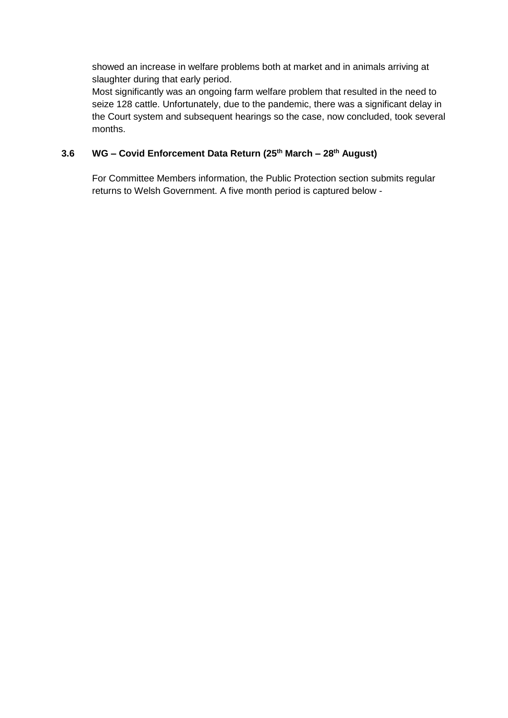showed an increase in welfare problems both at market and in animals arriving at slaughter during that early period.

Most significantly was an ongoing farm welfare problem that resulted in the need to seize 128 cattle. Unfortunately, due to the pandemic, there was a significant delay in the Court system and subsequent hearings so the case, now concluded, took several months.

#### **3.6 WG – Covid Enforcement Data Return (25th March – 28th August)**

For Committee Members information, the Public Protection section submits regular returns to Welsh Government. A five month period is captured below -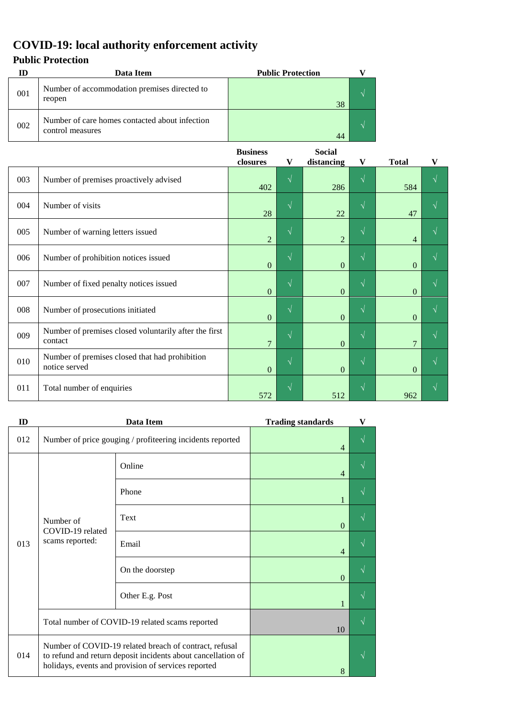# **COVID-19: local authority enforcement activity**

# **Public Protection**

|     | Data Item                                                          | <b>Public Protection</b> |  |
|-----|--------------------------------------------------------------------|--------------------------|--|
| 001 | Number of accommodation premises directed to<br>reopen             | 38                       |  |
| 002 | Number of care homes contacted about infection<br>control measures | 44                       |  |

|     |                                                                  | <b>Business</b> |            | <b>Social</b>  |            |                |           |
|-----|------------------------------------------------------------------|-----------------|------------|----------------|------------|----------------|-----------|
|     |                                                                  | closures        | V          | distancing     | V          | <b>Total</b>   | V         |
| 003 | Number of premises proactively advised                           | 402             | $\sqrt{ }$ | 286            | $\sqrt{}$  | 584            | $\sqrt{}$ |
| 004 | Number of visits                                                 | 28              | $\sqrt{ }$ | 22             | $\sqrt{ }$ | 47             | N         |
| 005 | Number of warning letters issued                                 | $\overline{2}$  | $\sqrt{}$  | $\overline{2}$ | V          | $\overline{4}$ |           |
| 006 | Number of prohibition notices issued                             | $\mathbf{0}$    | $\sqrt{ }$ | $\Omega$       | $\sqrt{ }$ | $\Omega$       | N         |
| 007 | Number of fixed penalty notices issued                           | $\overline{0}$  | $\sqrt{ }$ | $\Omega$       | $\sqrt{ }$ | $\Omega$       | V         |
| 008 | Number of prosecutions initiated                                 | $\overline{0}$  | $\sqrt{}$  | $\Omega$       | $\sqrt{ }$ | $\Omega$       | $\gamma$  |
| 009 | Number of premises closed voluntarily after the first<br>contact | $\overline{7}$  | $\sqrt{}$  | $\Omega$       | $\sqrt{}$  | $\overline{7}$ | $\sqrt{}$ |
| 010 | Number of premises closed that had prohibition<br>notice served  | $\mathbf{0}$    | $\sqrt{ }$ | $\mathbf{0}$   | $\sqrt{ }$ | $\mathbf{0}$   | $\sqrt{}$ |
| 011 | Total number of enquiries                                        | 572             | $\sqrt{ }$ | 512            | $\sqrt{}$  | 962            | N         |

| ID                                                      |                                                                                                                                                                               | Data Item       | <b>Trading standards</b> | V |
|---------------------------------------------------------|-------------------------------------------------------------------------------------------------------------------------------------------------------------------------------|-----------------|--------------------------|---|
| 012                                                     | Number of price gouging / profiteering incidents reported                                                                                                                     |                 | $\overline{4}$           |   |
| Number of<br>COVID-19 related<br>scams reported:<br>013 |                                                                                                                                                                               | Online          | 4                        | N |
|                                                         |                                                                                                                                                                               | Phone           |                          |   |
|                                                         | Text                                                                                                                                                                          | $\Omega$        |                          |   |
|                                                         |                                                                                                                                                                               | Email           | 4                        |   |
|                                                         |                                                                                                                                                                               | On the doorstep | $\Omega$                 |   |
|                                                         |                                                                                                                                                                               | Other E.g. Post | 1                        | ٦ |
|                                                         | Total number of COVID-19 related scams reported                                                                                                                               |                 | 10                       |   |
| 014                                                     | Number of COVID-19 related breach of contract, refusal<br>to refund and return deposit incidents about cancellation of<br>holidays, events and provision of services reported |                 | 8                        |   |